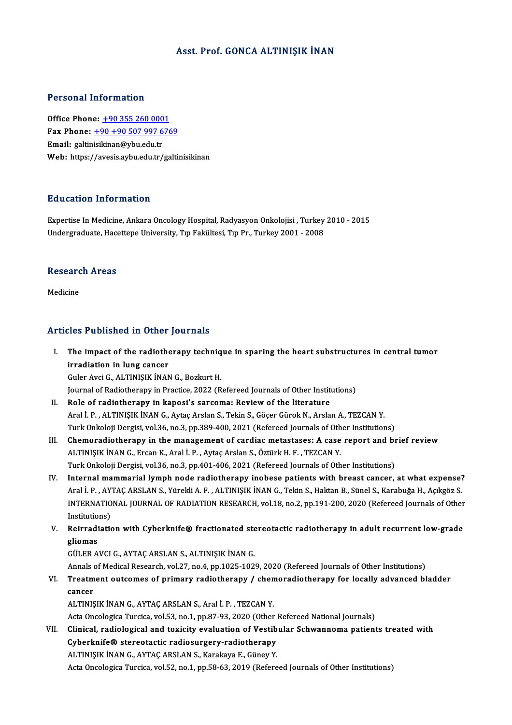### Asst. Prof. GONCA ALTINIŞIK İNAN

### Personal Information

Office Phone: +90 355 260 0001 Fax Phone: <u>+90 355 260 0001</u><br>Fax Phone: <u>+90 +90 507 997 6769</u><br>Fmail: salinialinan@ubu edu tr Office Phone: <u>+90 355 260 000</u><br>Fax Phone: <u>+90 +90 507 997 6</u><br>Email: galtin[isikinan@ybu.edu.tr](tel:+90 +90 507 997 6769) Email: galtinisikinan@ybu.edu.tr<br>Web: https://avesis.aybu.edu.tr/galtinisikinan

#### Education Information

Education Information<br>Expertise In Medicine, Ankara Oncology Hospital, Radyasyon Onkolojisi , Turkey 2010 - 2015<br>Undergraduate Hasettene University Tın Fekültesi Tın Br. Turkey 2001 - 2008 Luususeen IIII of Inderon<br>Expertise In Medicine, Ankara Oncology Hospital, Radyasyon Onkolojisi , Turkey<br>Undergraduate, Hacettepe University, Tıp Fakültesi, Tıp Pr., Turkey 2001 - 2008

## ondergraduate, nace<br>Research Areas <mark>Researc</mark><br>Medicine

# Articles Published in Other Journals

- rticles Published in Other Journals<br>I. The impact of the radiotherapy technique in sparing the heart substructures in central tumor<br>irredistion in lung cancer The impact of the radiother<br>irradiation in lung cancer<br>Culor Avgi C. ALTINISIE INAN The impact of the radiotherapy techniq<br>irradiation in lung cancer<br>Guler Avci G., ALTINIŞIK İNAN G., Bozkurt H.<br>Journal of Padiotherapy in Practice 2022 (P. irradiation in lung cancer<br>Guler Avci G., ALTINIŞIK İNAN G., Bozkurt H.<br>Journal of Radiotherapy in Practice, 2022 (Refereed Journals of Other Institutions)<br>Role of radiotherapy in kanosi's sarsoma: Boyjaw of the literature Guler Avci G., ALTINIȘIK İNAN G., Bozkurt H.<br>Journal of Radiotherapy in Practice, 2022 (Refereed Journals of Other Institute<br>II. Role of radiotherapy in kaposi's sarcoma: Review of the literature
- Journal of Radiotherapy in Practice, 2022 (Refereed Journals of Other Institutions)<br>Role of radiotherapy in kaposi's sarcoma: Review of the literature<br>Aral İ. P. , ALTINIŞIK İNAN G., Aytaç Arslan S., Tekin S., Göçer Gürok Role of radiotherapy in kaposi's sarcoma: Review of the literature<br>Aral İ. P. , ALTINIŞIK İNAN G., Aytaç Arslan S., Tekin S., Göçer Gürok N., Arslan A., TEZCAN Y.<br>Turk Onkoloji Dergisi, vol.36, no.3, pp.389-400, 2021 (Refe
- Aral İ. P., ALTINIŞIK İNAN G., Aytaç Arslan S., Tekin S., Göçer Gürok N., Arslan A., TEZCAN Y.<br>Turk Onkoloji Dergisi, vol.36, no.3, pp.389-400, 2021 (Refereed Journals of Other Institutions)<br>III. Chemoradiotherapy in the m Turk Onkoloji Dergisi, vol.36, no.3, pp.389-400, 2021 (Refereed Journals of Oth<br>Chemoradiotherapy in the management of cardiac metastases: A case<br>ALTINIŞIK İNAN G., Ercan K., Aral İ. P. , Aytaç Arslan S., Öztürk H. F. , TE Chemoradiotherapy in the management of cardiac metastases: A case report and bi<br>ALTINIŞIK İNAN G., Ercan K., Aral İ. P. , Aytaç Arslan S., Öztürk H. F. , TEZCAN Y.<br>Turk Onkoloji Dergisi, vol.36, no.3, pp.401-406, 2021 (Ref ALTINIŞIK İNAN G., Ercan K., Aral İ. P. , Aytaç Arslan S., Öztürk H. F. , TEZCAN Y.<br>Turk Onkoloji Dergisi, vol.36, no.3, pp.401-406, 2021 (Refereed Journals of Other Institutions)<br>IV. Internal mammarial lymph node radiothe
- Turk Onkoloji Dergisi, vol.36, no.3, pp.401-406, 2021 (Refereed Journals of Other Institutions)<br>Internal <mark>mammarial lymph node radiotherapy inobese patients with breast cancer, at what expense?</mark><br>Aral İ. P. , AYTAÇ ARSLAN S Internal mammarial lymph node radiotherapy inobese patients with breast cancer, at what expense?<br>Aral İ. P. , AYTAÇ ARSLAN S., Yürekli A. F. , ALTINIŞIK İNAN G., Tekin S., Haktan B., Sünel S., Karabuğa H., Açıkgöz S.<br>INTER Aral İ. P. , AY<br>INTERNATIO<br>Institutions)<br>Peinrediatio INTERNATIONAL JOURNAL OF RADIATION RESEARCH, vol.18, no.2, pp.191-200, 2020 (Refereed Journals of Other<br>Institutions)<br>V. Reirradiation with Cyberknife® fractionated stereotactic radiotherapy in adult recurrent low-grade<br>cl
- Institutions)<br>V. Reirradiation with Cyberknife® fractionated stereotactic radiotherapy in adult recurrent low-grade<br>gliomas

GÜLERAVCIG.,AYTAÇARSLANS.,ALTINIŞIKİNANG.

Annals of Medical Research, vol.27, no.4, pp.1025-1029, 2020 (Refereed Journals of Other Institutions)

GÜLER AVCI G., AYTAÇ ARSLAN S., ALTINIŞIK İNAN G.<br>Annals of Medical Research, vol.27, no.4, pp.1025-1029, 2020 (Refereed Journals of Other Institutions)<br>VI. Treatment outcomes of primary radiotherapy / chemoradiotherapy fo **Annals**<br>Treatm<br>cancer<br>ALTINIS Treatment outcomes of primary radiotherapy / chen<br>cancer<br>ALTINIŞIK İNAN G., AYTAÇ ARSLAN S., Aral İ. P. , TEZCAN Y.<br>Asta Onsalasisa Turaisa val 53 no 1 nn 97,93,2930 (Other cancer<br>ALTINIȘIK İNAN G., AYTAÇ ARSLAN S., Aral İ. P. , TEZCAN Y.<br>Acta Oncologica Turcica, vol.53, no.1, pp.87-93, 2020 (Other Refereed National Journals)<br>Clinical, radiological and tovisity evaluation of Vestibular Sebysa

ALTINIŞIK İNAN G., AYTAÇ ARSLAN S., Aral İ. P. , TEZCAN Y.<br>Acta Oncologica Turcica, vol.53, no.1, pp.87-93, 2020 (Other Refereed National Journals)<br>VII. Clinical, radiological and toxicity evaluation of Vestibular Schwanno Acta Oncologica Turcica, vol.53, no.1, pp.87-93, 2020 (Other<br>Clinical, radiological and toxicity evaluation of Vestib<br>Cyberknife® stereotactic radiosurgery-radiotherapy<br>ALTINISIK INAN C. AYTAC ABSLAN S. Karakaye E. Cünev V Clinical, radiological and toxicity evaluation of Vestib<br>Cyberknife® stereotactic radiosurgery-radiotherapy<br>ALTINIŞIK İNAN G., AYTAÇ ARSLAN S., Karakaya E., Güney Y.<br>Asta Ongalagiaa Turgiaa val 52 no 1 nn 59,62,2010 (Bafar Cyberknife® stereotactic radiosurgery-radiotherapy<br>ALTINIŞIK İNAN G., AYTAÇ ARSLAN S., Karakaya E., Güney Y.<br>Acta Oncologica Turcica, vol.52, no.1, pp.58-63, 2019 (Refereed Journals of Other Institutions)